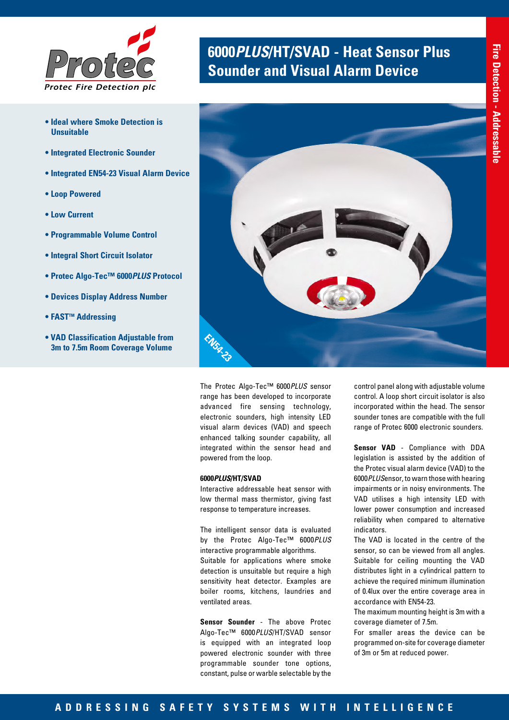

- **Ideal where Smoke Detection is Unsuitable**
- **Integrated Electronic Sounder**
- **Integrated EN54-23 Visual Alarm Device**
- **Loop Powered**
- **Low Current**
- **Programmable Volume Control**
- **Integral Short Circuit Isolator**
- **Protec Algo-Tec™ 6000***PLUS* **Protocol**
- **Devices Display Address Number**
- **FAST™ Addressing**
- **VAD Classification Adjustable from 3m to 7.5m Room Coverage Volume**

# **6000PLUS/HT/SVAD - Heat Sensor Plus <br><b>Sounder and Visual Alarm Device**



The Protec Algo-Tec™ 6000*PLUS* sensor range has been developed to incorporate advanced fire sensing technology, electronic sounders, high intensity LED visual alarm devices (VAD) and speech enhanced talking sounder capability, all integrated within the sensor head and powered from the loop.

#### **6000***PLUS***/HT/SVAD**

Interactive addressable heat sensor with low thermal mass thermistor, giving fast response to temperature increases.

The intelligent sensor data is evaluated by the Protec Algo-Tec™ 6000*PLUS* interactive programmable algorithms. Suitable for applications where smoke detection is unsuitable but require a high sensitivity heat detector. Examples are boiler rooms, kitchens, laundries and ventilated areas.

**Sensor Sounder** - The above Protec Algo-Tec™ 6000*PLUS*/HT/SVAD sensor is equipped with an integrated loop powered electronic sounder with three programmable sounder tone options, constant, pulse or warble selectable by the

control panel along with adjustable volume control. A loop short circuit isolator is also incorporated within the head. The sensor sounder tones are compatible with the full range of Protec 6000 electronic sounders.

**Sensor VAD** - Compliance with DDA legislation is assisted by the addition of the Protec visual alarm device (VAD) to the 6000*PLUS*ensor, to warn those with hearing impairments or in noisy environments. The VAD utilises a high intensity LED with lower power consumption and increased reliability when compared to alternative indicators.

The VAD is located in the centre of the sensor, so can be viewed from all angles. Suitable for ceiling mounting the VAD distributes light in a cylindrical pattern to achieve the required minimum illumination of 0.4lux over the entire coverage area in accordance with EN54-23.

The maximum mounting height is 3m with a coverage diameter of 7.5m.

For smaller areas the device can be programmed on-site for coverage diameter of 3m or 5m at reduced power.